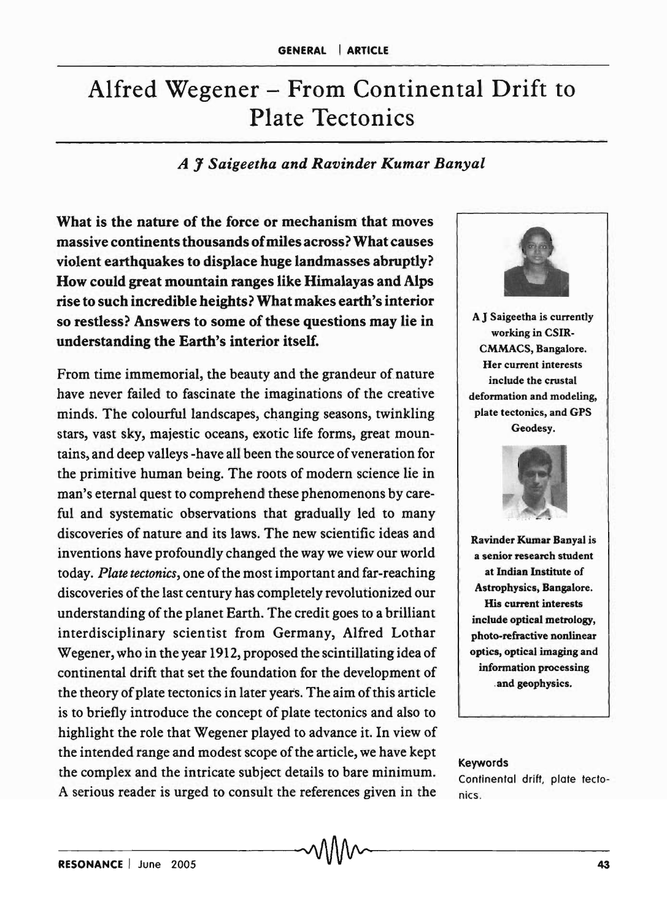# Alfred Wegener - From Continental Drift to Plate Tectonics

# A *J* Saigeetha and Ravinder Kumar Banyal

What is the nature of the force or mechanism that moves massive continents thousands of miles across? What causes violent earthquakes to displace huge landmasses abruptly? How could great mountain ranges like Himalayas and Alps rise to such incredible heights? What makes earth's interior so restless? Answers to some of these questions may lie in understanding the Earth's interior itself.

From time immemorial, the beauty and the grandeur of nature have never failed to fascinate the imaginations of the creative minds. The colourful landscapes, changing seasons, twinkling stars, vast sky, majestic oceans, exotic life forms, great mountains, and deep valleys -have all been the source of veneration for the primitive human being. The roots of modern science lie in man's eternal quest to comprehend these phenomenons by careful and systematic observations that gradually led to many discoveries of nature and its laws. The new scientific ideas and inventions have profoundly changed the way we view our world today. *Plate tectonics,* one of the most important and far-reaching discoveries of the last century has completely revolutionized our understanding of the planet Earth. The credit goes to a brilliant interdisciplinary scientist from Germany, Alfred Lothar Wegener, who in the year 1912, proposed the scintillating idea of continental drift that set the foundation for the development of the theory of plate tectonics in later years. The aim of this article is to briefly introduce the concept of plate tectonics and also to highlight the role that Wegener played to advance it. In view of the in tended range and modest scope of the article, we have kept the complex and the intricate subject details to bare minimum. A serious reader is urged to consult the references given in the



A J Saigeetha is currently working in CSIR-CMMACS, Bangalore. Her current interests include the crustal deformation and modeling, plate tectonics, and GPS Geodesy.



Ravinder Kumar Banyal is a senior research student at Indian Institute of Astrophysics, Bangalore. His current interests include optical metrology, photo-refractive nonlinear optics, optical imaging and information processing . and geophysics.

Keywords

Continental drift. plate tectonics.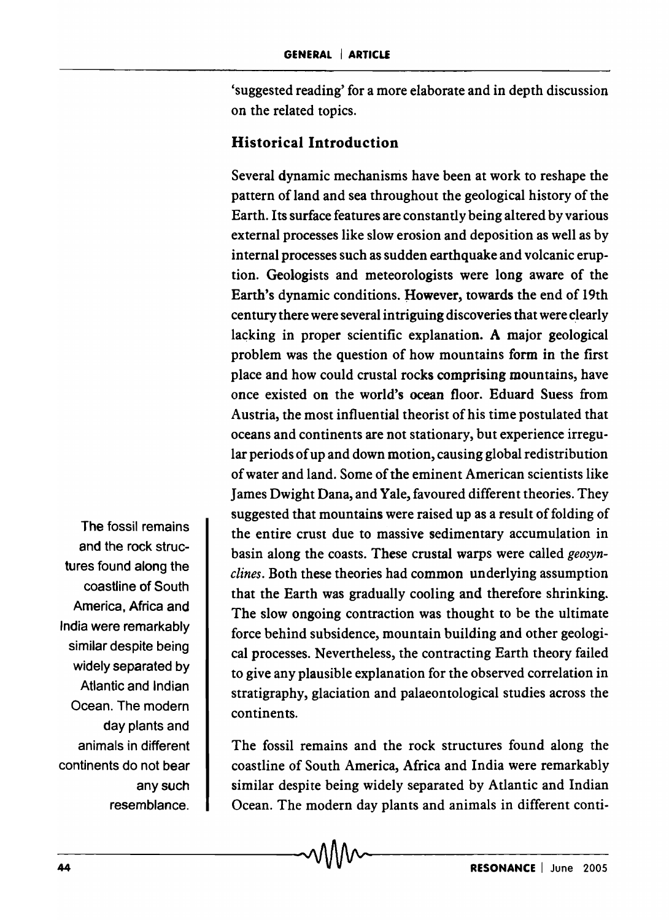'suggested reading' for a more elaborate and in depth discussion on the related topics.

## **Historical Introduction**

Several dynamic mechanisms have been at work to reshape the pattern of land and sea throughout the geological history of the Earth. Its surface features are constantly being altered by various external processes like slow erosion and deposition as well as by internal processes such as sudden earthquake and volcanic eruption. Geologists and meteorologists were long aware of the Earth's dynamic conditions. However, towards the end of 19th century there were several intriguing discoveries that were clearly lacking in proper scientific explanation. A major geological problem was the question of how mountains form in the first place and how could crustal rocks comprising mountains, have once existed on the world's ocean floor. Eduard Suess from Austria, the most influential theorist of his time postulated that oceans and continents are not stationary, but experience irregular periods of up and down motion, causing global redistribution of water and land. Some of the eminent American scientists like James Dwight Dana, and Yale, favoured different theories. They suggested that mountains were raised up as a result of folding of the entire crust due to massive sedimentary accumulation in basin along the coasts. These crustal warps were called *geosynclines.* Both these theories had common underlying assumption that the Earth was gradually cooling and therefore shrinking. The slow ongoing contraction was thought to be the ultimate force behind subsidence, mountain building and other geological processes. Nevertheless, the contracting Earth theory failed to give any plausible explanation for the observed correlation in stratigraphy, glaciation and palaeontological studies across the continents.

The fossil remains and the rock structures found along the coastline of South America, Africa and India were remarkably similar despite being widely separated by Atlantic and Indian Ocean. The modern day plants and animals in different conti-

The fossil remains and the rock structures found along the coastline of South America, Africa and India were remarkably similar despite being widely separated by Atlantic and Indian Ocean. The modern day plants and animals in different continents do not bear any such resemblance.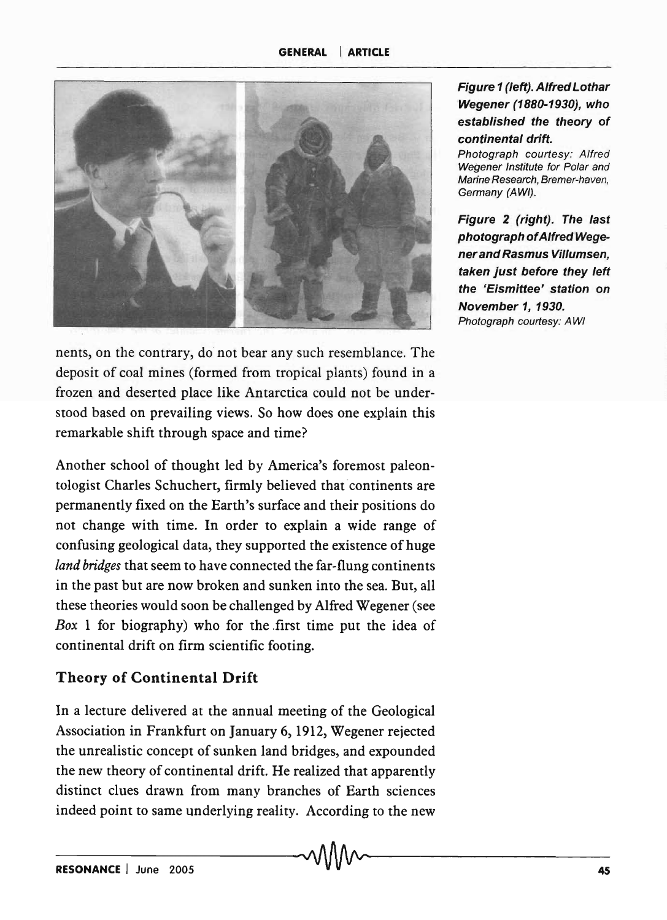

nents, on the contrary, do not bear any such resemblance. The deposit of coal mines (formed from tropical plants) found in a frozen and deserted place like Antarctica could not be understood based on prevailing views. So how does one explain this remarkable shift through space and time?

Another school of thought led by America's foremost paleontologist Charles Schuchert, firmly believed that' continents are permanently fixed on the Earth's surface and their positions do not change with time. In order to explain a wide range of confusing geological data, they supported the existence of huge *land bridges* that seem to have connected the far-flung continents in the past but are now broken and sunken into the sea. But, all these theories would soon be challenged by Alfred Wegener (see *Box* 1 for biography) who for the .first time put the idea of continental drift on firm scientific footing.

## Theory of Continental Drift

In a lecture delivered at the annual meeting of the Geological Association in Frankfurt on January 6, 1912, Wegener rejected the unrealistic concept of sunken land bridges, and expounded the new theory of continental drift. He realized that apparently distinct clues drawn from many branches of Earth sciences indeed point to same underlying reality. According to the new

#### Figure 1 (left). Alfred Lothar Wegener (1880-1930), who established the theory of continental drift.

Photograph courtesy: Alfred Wegener Institute for Polar and Marine Research, Bremer-haven, Germany (AWl).

Figure 2 (right). The last photograph of Alfred Wegener and Rasmus Villumsen, taken just before they left the 'Eismittee' station on November 1, 1930. Photograph courtesy: AWI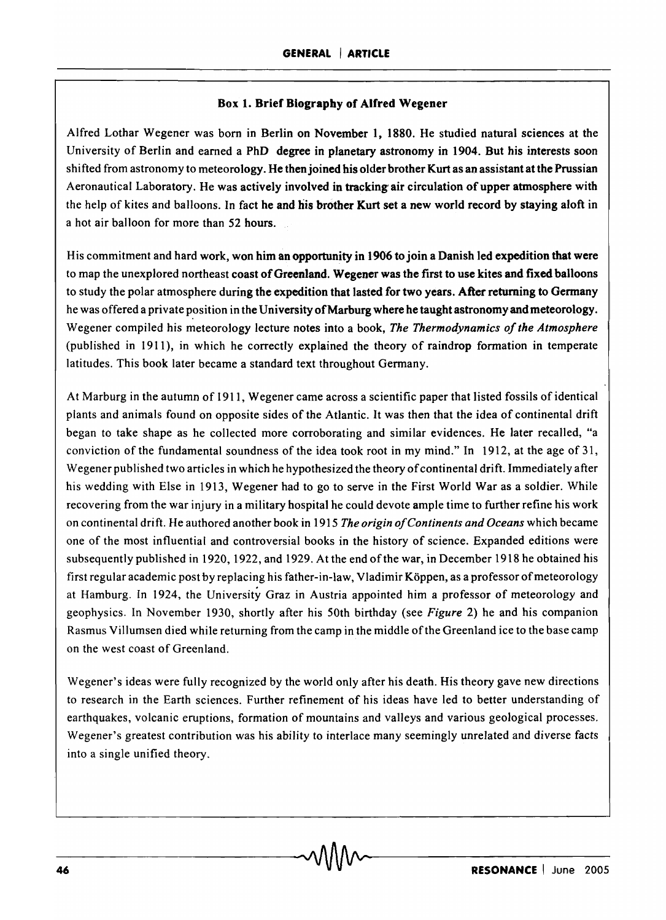#### Box 1. Brief Biography of Alfred Wegener

Alfred Lothar Wegener was born in Berlin on November I, 1880. He studied natural sciences at the University of Berlin and earned a PhD degree in planetary astronomy in 1904. But his interests soon shifted from astronomy to meteorology. He then joined his older brother Kurt as an assistant at the Prussian Aeronautical Laboratory. He was actively involved in tracking air circulation of upper atmosphere with the help of kites and balloons. In fact he and his brother Kurt set a new world record by staying aloft in a hot air balloon for more than 52 hours.

His commitment and hard work, won him an opportunity in 1906 to join a Danish led expedition that were to map the unexplored northeast coast of Greenland. Wegener was the first to use kites and fixed balloons to study the polar atmosphere during the expedition that lasted for two years. After returning to Germany he was offered a private position in the University of Marburg where he taught astronomy and meteorology. Wegener compiled his meteorology lecture notes into a book, *The Thermodynamics of the Atmosphere*  (published in 1911), in which he correctly explained the theory of raindrop formation in temperate latitudes. This book later became a standard text throughout Germany.

At Marburg in the autumn of 1911, Wegener came across a scientific paper that listed fossils of identical plants and animals found on opposite sides of the Atlantic. It was then that the idea of continental drift began to take shape as he collected more corroborating and similar evidences. He later recalled, "a conviction of the fundamental soundness of the idea took root in my mind." In 1912, at the age of 31, Wegener published two articles in which he hypothesized the theory of continental drift. Immediately after his wedding with Else in 1913, Wegener had to go to serve in the First World War as a soldier. While recovering from the war injury in a military hospital he could devote ample time to further refine his work on continental drift. He authored another book in 1915 *The origin o/Continents and Oceans* which became one of the most influential and controversial books in the history of science. Expanded editions were subsequently published in 1920, 1922, and 1929. At the end of the war, in December 1918 he obtained his first regular academic post by replacing his father-in-law, Vladimir Koppen, as a professor of meteorology at Hamburg. In 1924, the University Graz in Austria appointed him a professor of meteorology and geophysics. In November 1930, shortly after his 50th birthday (see *Figure* 2) he and his companion Rasmus Villumsen died while returning from the camp in the middle of the Greenland ice to the base camp on the west coast of Greenland.

Wegener's ideas were fully recognized by the world only after his death. His theory gave new directions to research in the Earth sciences. Further refinement of his ideas have led to better understanding of earthquakes, volcanic eruptions, formation of mountains and valleys and various geological processes. Wegener's greatest contribution was his ability to interlace many seemingly unrelated and diverse facts into a single unified theory.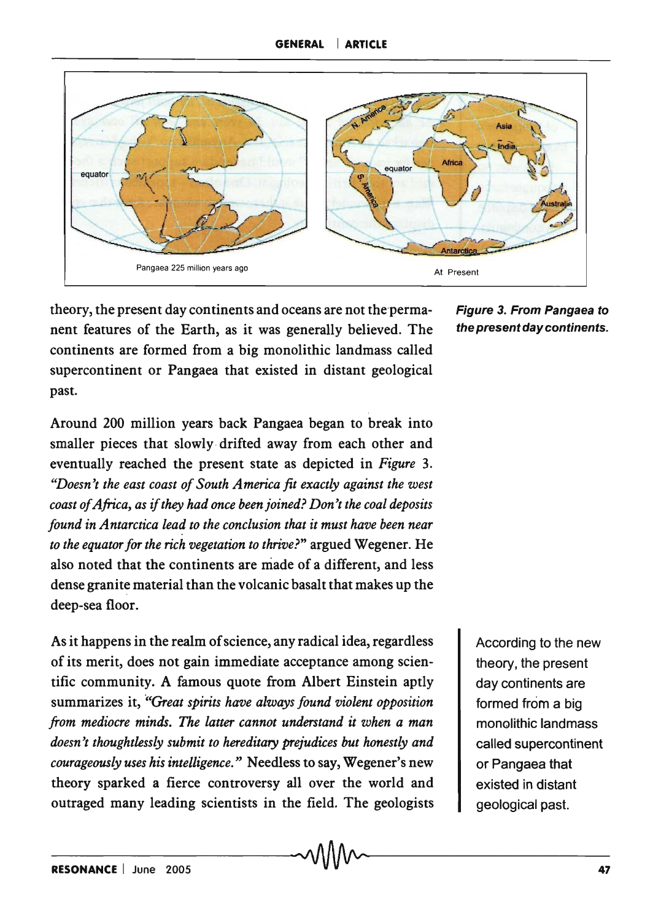

theory, the present day continents and oceans are not the permanent features of the Earth, as it was generally believed. The continents are formed from a big monolithic landmass called supercontinent or Pangaea that existed in distant geological past.

Around 200 million years back Pangaea began to break into smaller pieces that slowly- drifted away from each other and eventually reached the present state as depicted in *Figure 3. "Doesn't the east coast of South America fit exactly against the west coast of Africa, as* if *they had once been joined? Don't the coal deposits found in A ntarctica lead to the conclusion that it must have been near to the equator for the rich vegetation to thrive?"* argued Wegener. He also noted that the continents are made of a different, and less dense granite material than the volcanic basalt that makes up the deep-sea floor.

As it happens in the realm of science, any radical idea, regardless of its merit, does not gain immediate acceptance among scientific community. A famous quote from Albert Einstein aptly summarizes it, "Great spirits have always found violent opposition *from mediocre minds. The latter cannot understand it when a man doesn't thoughtlessly submit to hereditary prejudices but honestly and courageously uses his intelligence."* Needless to say, Wegener's new theory sparked a fierce controversy all over the world and outraged many leading scientists in the field. The geologists

Figure 3. From Pangaea to the present day continents.

> According to the new theory, the present day continents are formed from a big monolithic landmass called supercontinent or Pangaea that existed in distant geological past.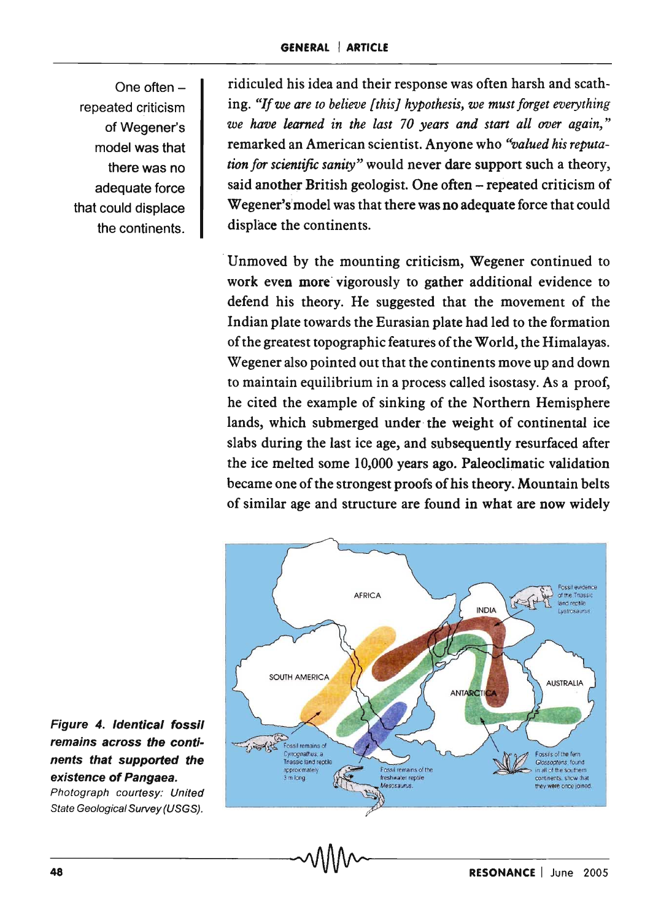One oftenrepeated criticism of Wegener's model was that there was no adequate force that could displace the continents.

ridiculed his idea and their response was often harsh and scathing. *"If we are to believe {this] hypothesis, we must forget everything we have learned in the last 70 years and start all over again,"*  remarked an American scientist. Anyone who *"valued his reputation for scientific sanity"* would never dare support such a theory, said another British geologist. One often - repeated criticism of Wegener's'model was that there was no adequate force that could displace the continents.

Unmoved by the mounting criticism, Wegener continued to work even more'vigorously to gather additional evidence to defend his theory. He suggested that the movement of the Indian plate towards the Eurasian plate had led to the formation of the greatest topographic features of the World, the Himalayas. Wegener also pointed out that the continents move up and down to maintain equilibrium in a process called isostasy. As a proof, he cited the example of sinking of the Northern Hemisphere lands, which submerged under the weight of continental ice slabs during the last ice age, and subsequently resurfaced after the ice melted some 10,000 years ago. Paleoclimatic validation became one of the strongest proofs of his theory. Mountain belts of similar age and structure are found in what are now widely



Figure 4. Identical fossil remains across the continents that supported the existence of Pangaea.

Photograph courtesy: United State Geological Survey (USGS).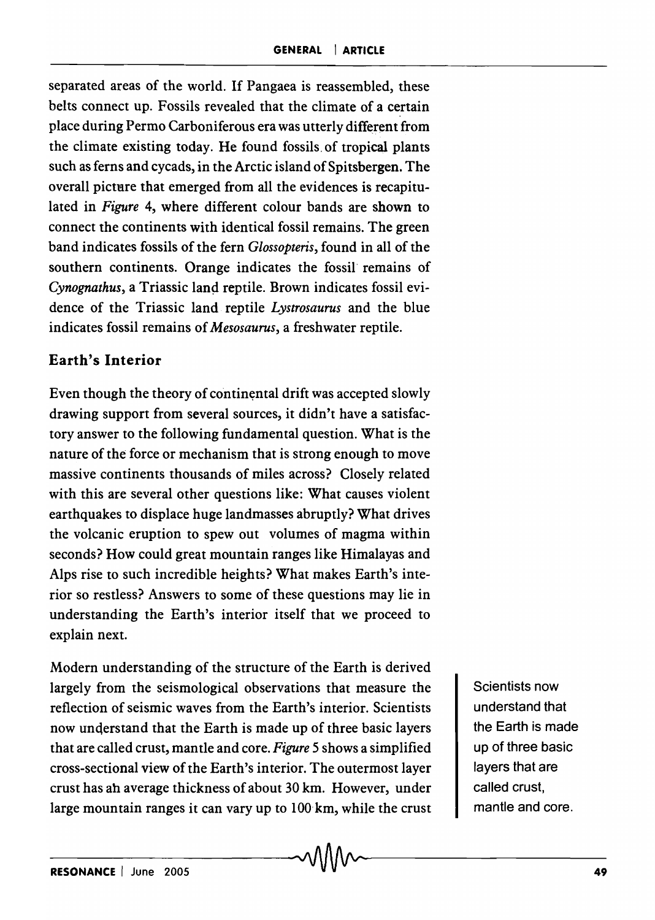separated areas of the world. If Pangaea is reassembled, these belts connect up. Fossils revealed that the climate of a certain place during Permo Carboniferous era was utterly different from the climate existing today. He found fossils of tropical plants such as ferns and cycads, in the Arctic island of Spitsbergen. The overall picture that emerged from all the evidences is recapitulated in *Figure* 4, where different colour bands are shown to connect the continents with identical fossil remains. The green band indicates fossils of the fern *Glossopteris,* found in all of the southern continents. Orange indicates the fossil remains of *Cynognathus, a Triassic land reptile. Brown indicates fossil evi*dence of the Triassic land reptile *Lystrosaurus* and the blue indicates fossil remains of *Mesosaurus,* a freshwater reptile.

# Earth's Interior

Even though the theory of continental drift was accepted slowly drawing support from several sources, it didn't have a satisfactory answer to the following fundamental question. What is the nature of the force or mechanism that is strong enough to move massive continents thousands of miles across? Closely related with this are several other questions like: What causes violent earthquakes to displace huge landmasses abruptly? What drives the volcanic eruption to spew out volumes of magma within seconds? How could great mountain ranges like Himalayas and Alps rise to such incredible heights? What makes Earth's interior so restless? Answers to some of these questions may lie in understanding the Earth's interior itself that we proceed to explain next.

Modern understanding of the structure of the Earth is derived largely from the seismological observations that measure the reflection of seismic waves from the Earth's interior. Scientists now understand that the Earth is made up of three basic layers that are called crust, mantle and core. *Figure* 5 shows a simplified cross-sectional view of the Earth's interior. The outermost layer crust has ah average thickness of about 30 km. However, under large mountain ranges it can vary up to 100 km, while the crust

Scientists now understand that the Earth is made up of three basic layers that are called crust, mantle and core.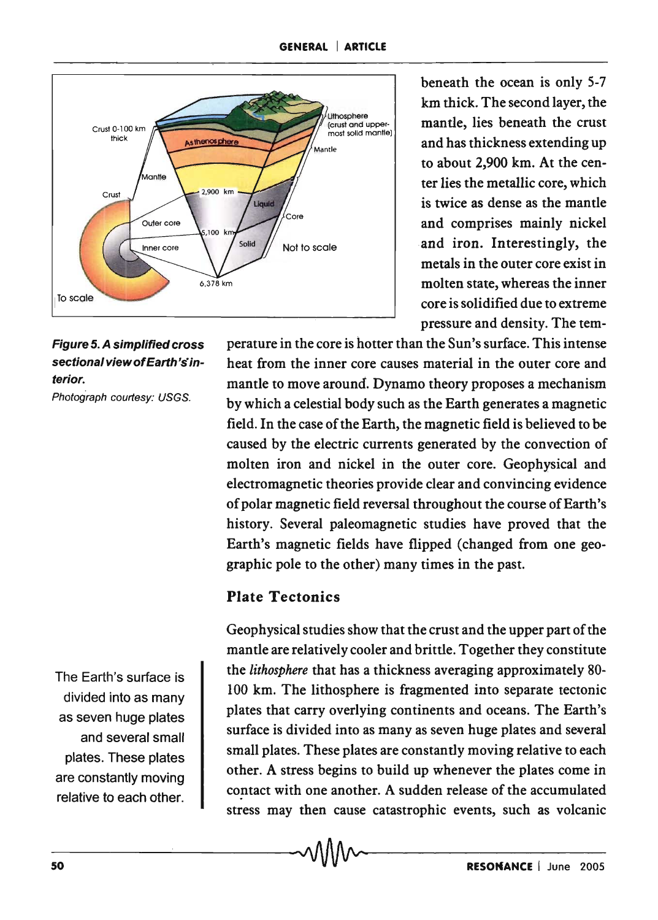

beneath the ocean is only 5-7 km thick. The second layer, the mantle, lies beneath the crust and has thickness extending up to about 2,900 km. At the center lies the metallic core, which is twice as dense as the mantle and comprises mainly nickel and iron. Interestingly, the metals in the outer core exist in molten state, whereas the inner core is solidified due to extreme pressure and density. The tem-

# Figure 5. A simplified cross sectional view of Earth's interior.

Photograph courtesy: USGS.

The Earth's surface is divided into as many as seven huge plates and several small plates. These plates are constantly moving relative to each other.

perature in the core is hotter than the Sun's surface. This intense heat from the inner core causes material in the outer core and mantle to move around. Dynamo theory proposes a mechanism by which a celestial body such as the Earth generates a magnetic field. In the case of the Earth, the magnetic field is believed to be caused by the electric currents generated by the convection of molten iron and nickel in the outer core. Geophysical and electromagnetic theories provide clear and convincing evidence of polar magnetic field reversal throughout the course of Earth's history. Several paleomagnetic studies have proved that the Earth's magnetic fields have flipped (changed from one geographic pole to the other) many times in the past.

## Plate Tectonics

Geophysical studies show that the crust and the upper part of the mantle are relatively cooler and brittle. Together they constitute the *lithosphere* that has a thickness averaging approximately 80- 100 km. The lithosphere is fragmented into separate tectonic plates that carry overlying continents and oceans. The Earth's surface is divided into as many as seven huge plates and several small plates. These plates are constantly moving relative to each other. A stress begins to build up whenever the plates come in contact with one another. A sudden release of the accumulated stress may then cause catastrophic events, such as volcanic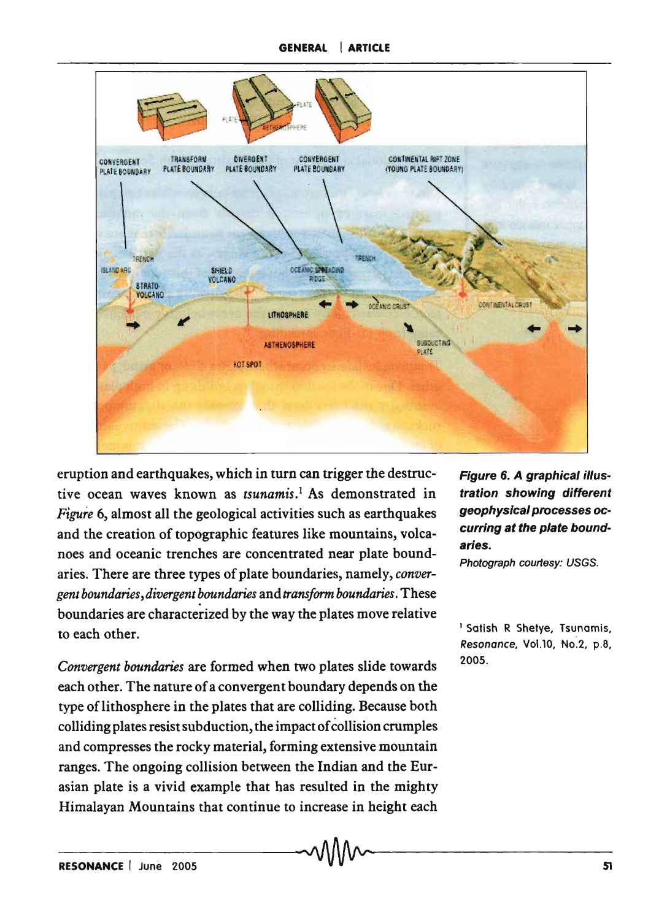

eruption and earthquakes, which in turn can trigger the destructive ocean waves known as *tsunamis}* As demonstrated in *Figure* 6, almost all the geological activities such as earthquakes and the creation of topographic features like mountains, volcanoes and oceanic trenches are concentrated near plate boundaries. There are three types of plate boundaries, namely, *convergent boundaries, divergent boundaries* and *transform boundaries.* These boundaries are characterized by the way the plates move relative to each other.

*Convergent boundaries* are formed when two plates slide towards each other. The nature of a convergent boundary depends on the type of lithosphere in the plates that are colliding. Because both colliding plates resist subduction, the impact of collision crumples and compresses the rocky material, forming extensive mountain ranges. The ongoing collision between the Indian and the Eurasian plate is a vivid example that has resulted in the mighty Himalayan Mountains that continue to increase in height each

Figure 6. A graphical illustration showing different geophysical processes occurring at the plate boundaries.

Photograph courtesy: USGS.

1 Satish R Shetye, Tsunamis, Resonance, Vo1.10, No.2, p.8, 2005.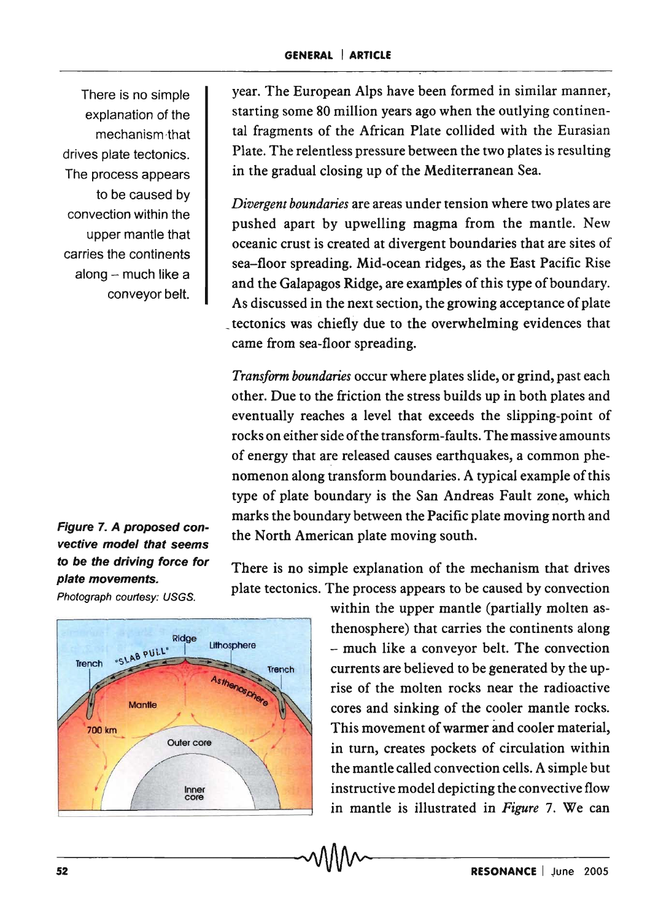There is no simple explanation of the mechanism that drives plate tectonics. The process appears to be caused by convection within the upper mantle that carries the continents along - much like a conveyor belt.

Figure 7. A proposed convective model that seems to be the driving force for plate movements.

Photograph courtesy: USGS.



year. The European Alps have been formed in similar manner, starting some 80 million years ago when the outlying continental fragments of the African Plate collided with the Eurasian Plate. The relentless pressure between the two plates is resulting in the gradual closing up of the Mediterranean Sea.

*Divergent boundaries* are areas under tension where two plates are pushed apart by upwelling magma from the mantle. New oceanic crust is created at divergent boundaries that are sites of sea-floor spreading. Mid-ocean ridges, as the East Pacific Rise and the Galapagos Ridge, are examples of this type of boundary. As discussed in the next section, the growing acceptance of plate \_ tectonics was chiefly due to the overwhelming evidences that came from sea-floor spreading.

*Transform boundaries* occur where plates slide, or grind, past each other. Due to the friction the stress builds up in both plates and eventually reaches a level that exceeds the slipping-point of rocks on either side ofthe transform-faults. The massive amounts of energy that are released causes earthquakes, a common phenomenon along transform boundaries. A typical example of this type of plate boundary is the San Andreas Fault zone, which marks the boundary between the Pacific plate moving north and the North American plate moving south.

There is no simple explanation of the mechanism that drives plate tectonics. The process appears to be caused by convection

within the upper mantle (partially molten asthenosphere) that carries the continents along  $Lithosphere$  - much like a conveyor belt. The convection currents are believed to be generated by the uprise of the molten rocks near the radioactive cores and sinking of the cooler mantle rocks. This movement of warmer and cooler material, in turn, creates pockets of circulation within the mantle called convection cells. A simple but instructive model depicting the convective flow in mantle is illustrated in *Figure* 7. We can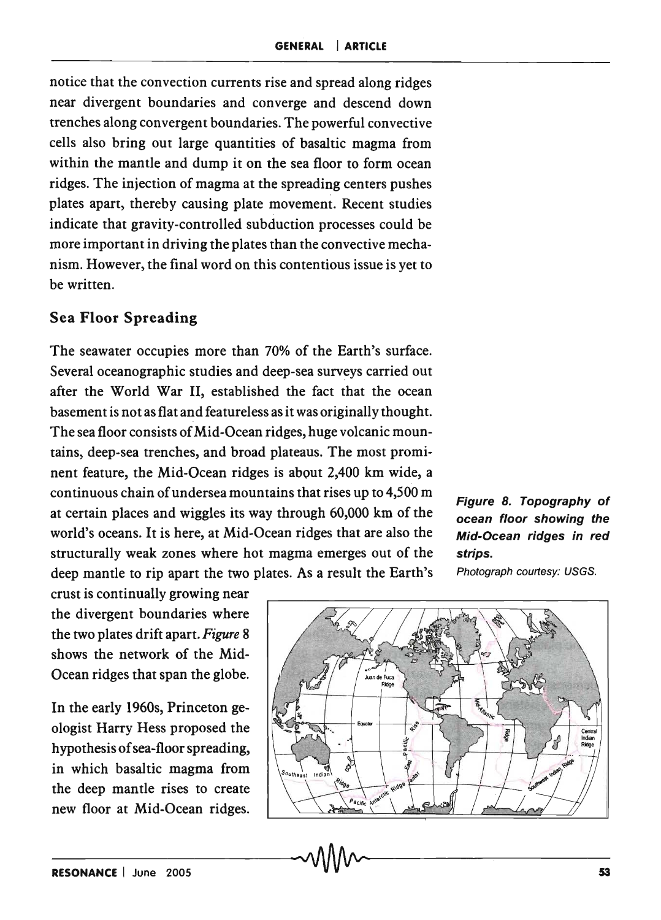notice that the convection currents rise and spread along ridges near divergent boundaries and converge and descend down trenches along convergent boundaries. The powerful convective cells also bring out large quantities of basaltic magma from within the mantle and dump it on the sea floor to form ocean ridges. The injection of magma at the spreading centers pushes plates apart, thereby causing plate movement. Recent studies indicate that gravity-controlled subduction processes could be more important in driving the plates than the convective mechanism. However, the final word on this contentious issue is yet to be written.

# Sea Floor Spreading

The seawater occupies more than 70% of the Earth's surface. Several oceanographic studies and deep-sea surveys carried out after the World War II, established the fact that the ocean basement is not as flat and featureless as it was originally thought. The sea floor consists of Mid-Ocean ridges, huge volcanic mountains, deep-sea trenches, and broad plateaus. The most prominent feature, the Mid-Ocean ridges is about 2,400 km wide, a continuous chain of undersea mountains that rises up to 4,500 m at certain places and wiggles its way through 60,000 km of the world's oceans. It is here, at Mid-Ocean ridges that are also the structurally weak zones where hot magma emerges out of the deep mantle to rip apart the two plates. As a result the Earth's

Figure 8. Topography of ocean floor showing the Mid-Ocean ridges in red strips.

Photograph courtesy: USGS.

crust is continually growing near the divergent boundaries where the two plates drift apart. *Figure* 8 shows the network of the Mid-Ocean ridges that span the globe.

In the early 1960s, Princeton geologist Harry Hess proposed the hypothesis of sea~floor spreading, in which basaltic magma from the deep mantle rises to create new floor at Mid~Ocean ridges.

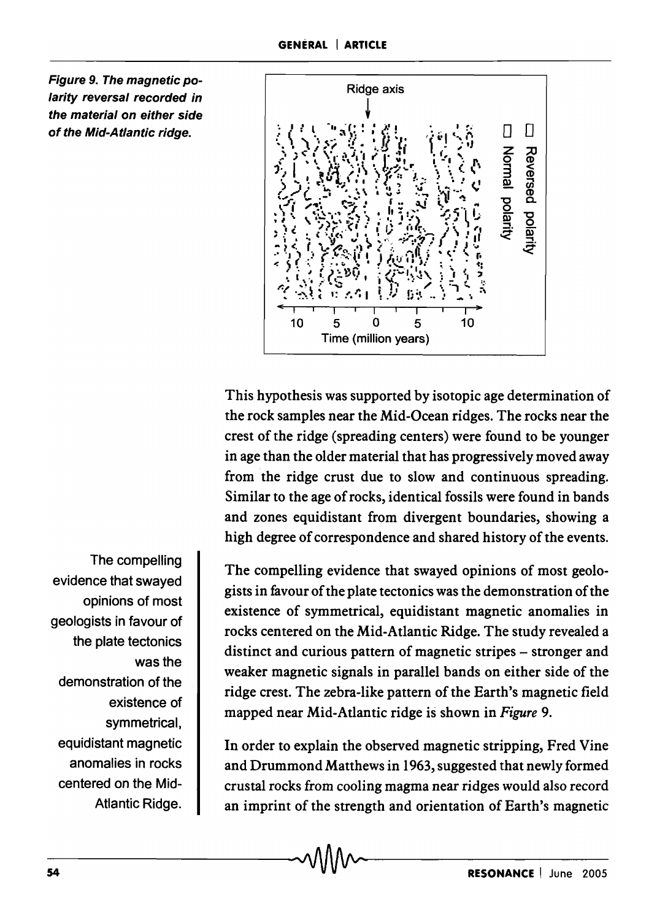

Figure 9, The magnetic polarity reversal recorded in the material on either side of the Mid-Atlantic ridge,

> This hypothesis was supported by isotopic age determination of the rock samples near the Mid-Ocean ridges. The rocks near the crest of the ridge (spreading centers) were found to be younger in age than the older material that has progressively moved away from the ridge crust due to slow and continuous spreading. Similar to the age of rocks, identical fossils were found in bands and zones equidistant from divergent boundaries, showing a high degree of correspondence and shared history of the events.

> The compelling evidence that swayed opinions of most geologists in favour of the plate tectonics was the demonstration of the existence of symmetrical, equidistant magnetic anomalies in rocks centered on the Mid-Atlantic Ridge. The study revealed a distinct and curious pattern of magnetic stripes – stronger and weaker magnetic signals in parallel bands on either side of the ridge crest. The zebra-like pattern of the Earth's magnetic field mapped near Mid-Atlantic ridge is shown in *Figure 9.*

> In order to explain the observed magnetic stripping, Fred Vine and Drummond Matthews in 1963, suggested that newly formed crustal rocks from cooling magma near ridges would also record an imprint of the strength and orientation of Earth's magnetic

The compelling evidence that swayed opinions of most geologists in favour of the plate tectonics was the demonstration of the existence of symmetrical, equidistant magnetic anomalies in rocks centered on the Mid-Atlantic Ridge,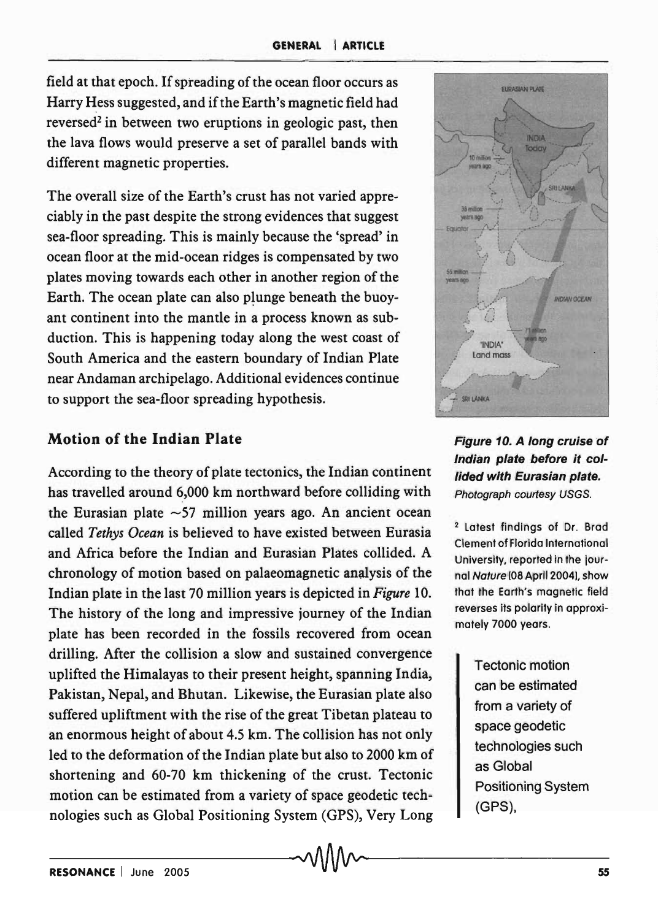field at that epoch. If spreading of the ocean floor occurs as Harry Hess suggested, and if the Earth's magnetic field had reversed<sup>2</sup> in between two eruptions in geologic past, then the lava flows would preserve a set of parallel bands with different magnetic properties.

The overall size of the Earth's crust has not varied appreciably in the past despite the strong evidences that suggest sea-floor spreading. This is mainly because the 'spread' in ocean floor at the mid-ocean ridges is compensated by two plates moving towards each other in another region of the Earth. The ocean plate can also plunge beneath the buoyant continent into the mantle in a process known as subduction. This is happening today along the west coast of South America and the eastern boundary of Indian Plate near Andaman archipelago. Additional evidences continue to support the sea-floor spreading hypothesis.

## Motion of the Indian Plate Figure 10. A long cruise of

According to the theory of plate tectonics, the Indian continent lided with Eurasian plate. has travelled around 6,000 km northward before colliding with Photograph courtesy USGS. the Eurasian plate  $\sim$  57 million years ago. An ancient ocean called *Tethys Ocean* is believed to have existed between Eurasia and Africa before the Indian and Eurasian Plates collided. A chronology of motion based on palaeomagnetic analysis of the Indian plate in the last 70 million years is depicted in *Figure* 10. The history of the long and impressive journey of the Indian plate has been recorded in the fossils recovered from ocean drilling. After the collision a slow and sustained convergence uplifted the Himalayas to their present height, spanning India, Pakistan, Nepal, and Bhutan. Likewise, the Eurasian plate also suffered upliftment with the rise of the great Tibetan plateau to an enormous height of about 4.5 km. The collision has not only led to the deformation of the Indian plate but also to 2000 km of shortening and 60-70 km thickening of the crust. Tectonic motion can be estimated from a variety of space geodetic technologies such as Global Positioning System (GPS), Very Long



Indian plate before it col-

<sup>2</sup>latest findings of Dr. Brad Clement of Florida International University, reported in the journal Nature (08 April 2004), show that the Earth's magnetic field reverses its polarity in approximately 7000 years.

> Tectonic motion can be estimated from a variety of space geodetic technologies such as Global Positioning System (GPS),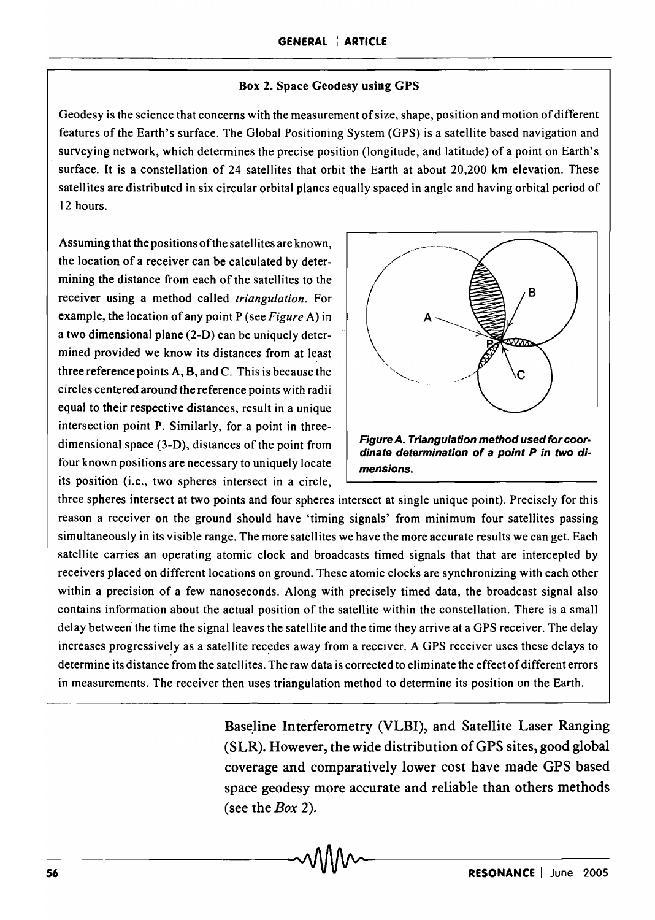#### Box 2. Space Geodesy using GPS

Geodesy is the science that concerns with the measurement of size, shape, position and motion of different features of the Earth's surface. The Global Positioning System (GPS) is a satellite based navigation and surveying network, which determines the precise position (longitude, and latitude) of a point on Earth's surface. It is a constellation of 24 satellites that orbit the Earth at about 20,200 km elevation. These satellites are distributed in six circular orbital planes equally spaced in angle and having orbital period of 12 hours.

Assuming that the positions ofthe satellites are known, the location of a receiver can be calculated by determining the distance from each of the satellites to the receiver using a method called *triangulation.* For example, the location of any point P (see *Figure* A) in a two dimensional plane (2-D) can be uniquely determined provided we know its distances from at least three reference points A, B, and C. This is because the circles centered around the reference points with radii equal to their respective distances, result in a unique intersection point P. Similarly, for a point in threedimensional space (3-D), distances of the point from four known positions are necessary to uniquely locate its position (i.e., two spheres intersect in a circle,



three spheres intersect at two points and four spheres intersect at single unique point). Precisely for this reason a receiver on the ground should have 'timing signals' from minimum four satellites passing simultaneously in its visible range. The more satellites we have the more accurate results we can get. Each satellite carries an operating atomic clock and broadcasts timed signals that that are intercepted by receivers placed on different locations on ground. These atomic clocks are synchronizing with each other within a precision of a few nanoseconds. Along with precisely timed data, the broadcast signal also contains information about the actual position of the satellite within the constellation. There is a small delay between the time the signal leaves the satellite and the time they arrive at a GPS receiver. The delay increases progressively as a satellite recedes away from a receiver. A GPS receiver uses these delays to determine its distance from the satellites. The raw data is corrected to eliminate the effect of different errors in measurements. The receiver then uses triangulation method to determine its position on the Earth.

> Baseline Interferometry (VLBI), and Satellite Laser Ranging (SLR). However, the wide distribution ofGPS sites, good global coverage and comparatively lower cost have made GPS based space geodesy more accurate and reliable than others methods (see the *Box 2).*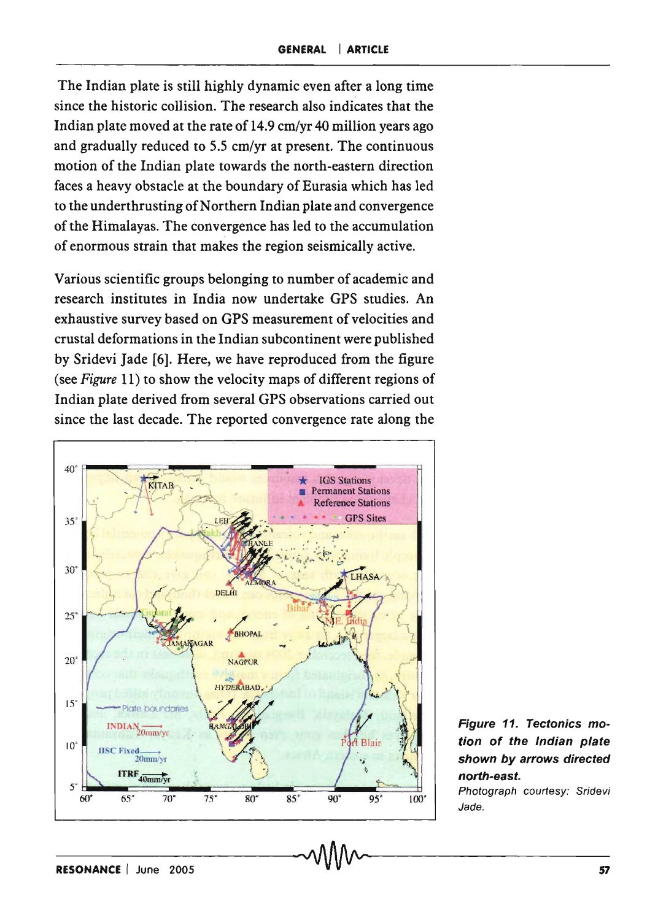The Indian plate is still highly dynamic even after a long time since the historic collision. The research also indicates that the Indian plate moved at the rate of 14.9 cm/yr 40 million years ago and gradually reduced to 5.5 cm/yr at present. The continuous motion of the Indian plate towards the north-eastern direction faces a heavy obstacle at the boundary of Eurasia which has led to the underthrusting of Northern Indian plate and convergence of the Himalayas. The convergence has led to the accumulation of enormous strain that makes the region seismically active.

Various scientific groups belonging to number of academic and research institutes in India now undertake GPS studies. An exhaustive survey based on GPS measurement of velocities and crustal deformations in the Indian subcontinent were published by Sridevi Jade [6]. Here, we have reproduced from the figure (see *Figure* 11) to show the velocity maps of different regions of Indian plate derived from several GPS observations carried out since the last decade. The reported convergence rate along the



Figure 11. Tectonics motion of the Indian plate shown by arrows directed north-east.

Photograph courtesy: Sridevi Jade.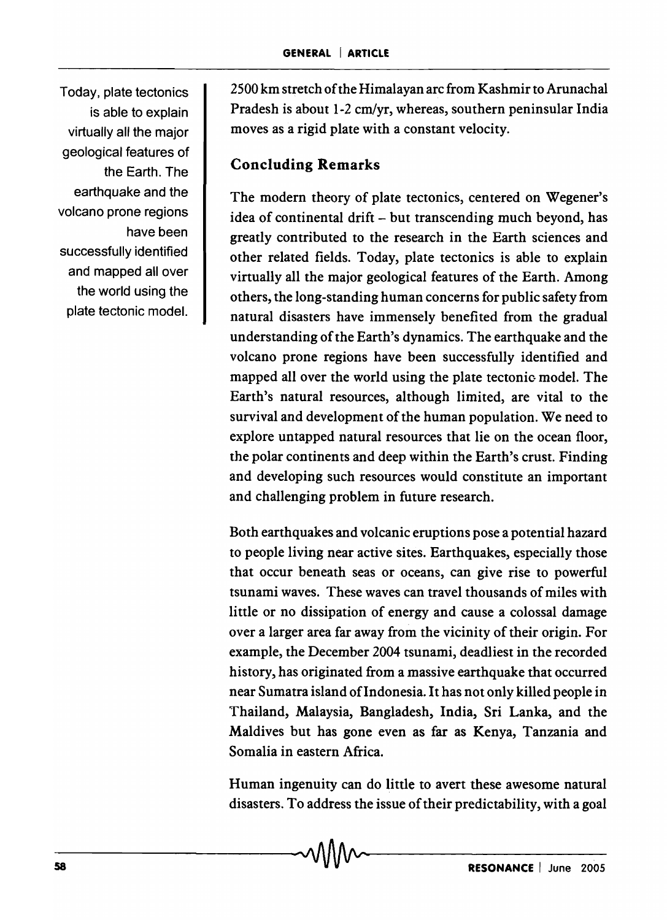Today, plate tectonics is able to explain virtually all the major geological features of the Earth. The earthquake and the volcano prone regions have been successfully identified and mapped all over the world using the plate tectonic model.

2500 km stretch of the Himalayan arc from Kashmir to Arunachal Pradesh is about 1-2 cm/yr, whereas, southern peninsular India moves as a rigid plate with a constant velocity.

# Concluding Remarks

The modern theory of plate tectonics, centered on Wegener's idea of continental drift – but transcending much beyond, has greatly contributed to the research in the Earth sciences and other related fields. Today, plate tectonics is able to explain virtually all the major geological features of the Earth. Among others, the long-standing human concerns for public safety from natural disasters have immensely benefited from the gradual understanding of the Earth's dynamics. The earthquake and the volcano prone regions have been successfully identified and mapped all over the world using the plate tectonic model. The Earth's natural resources, although limited, are vital to the survival and development of the human population. We need to explore untapped natural resources that lie on the ocean floor, the polar continents and deep within the Earth's crust. Finding and developing such resources would constitute an important and challenging problem in future research.

Both earthquakes and volcanic eruptions pose a potential hazard to people living near active sites. Earthquakes, especially those that occur beneath seas or oceans, can give rise to powerful tsunami waves. These waves can travel thousands of miles with little or no dissipation of energy and cause a colossal damage over a larger area far away from the vicinity of their origin. For example, the December 2004 tsunami, deadliest in the recorded history, has originated from a massive earthquake that occurred near Sumatra island of Indonesia. It has not only killed people in Thailand, Malaysia, Bangladesh, India, Sri Lanka, and the Maldives but has gone even as far as Kenya, Tanzania and Somalia in eastern Africa.

Human ingenuity can do little to avert these awesome natural disasters. To address the issue of their predictability, with a goal<br>disasters. To address the issue of their predictability, with a goal<br>**RESONANCE** | June 2005